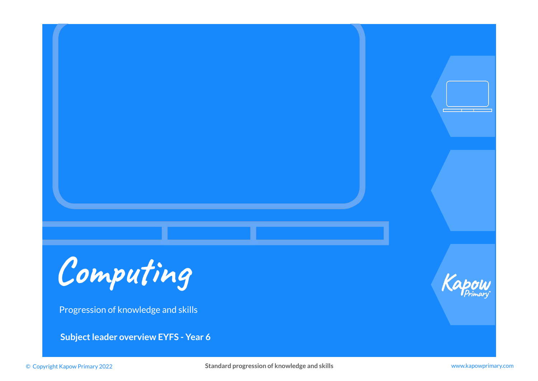

Progression of knowledge and skills

**Subject leader overview EYFS - Year 6**



© Copyright Kapow Primary 2022 **Standard progression of knowledge and skills** www.kapowprimary.com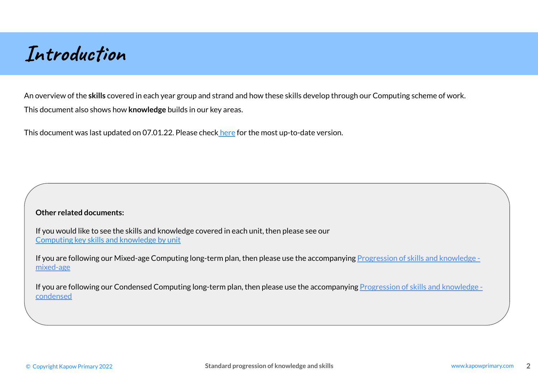# **Introduction**

An overview of the **skills** covered in each year group and strand and how these skills develop through our Computing scheme of work. This document also shows how **knowledge** builds in our key areas.

This document was last updated on 07.01.22. Please check [here](https://www.kapowprimary.com/featured_documents/subject-leader-overview-computing-progression-of-skills-and-knowledge/) for the most up-to-date version.

### **Other related documents:**

If you would like to see the skills and knowledge covered in each unit, then please see our [Computing key skills and knowledge by unit](https://www.kapowprimary.com/featured_documents/computing-key-skills-and-knowledge-by-unit-including-condensed-curriculum/)

If you are following our Mixed-age Computing long-term plan, then please use the accompanying [Progression of skills and knowledge](https://www.kapowprimary.com/featured_documents/computing-progression-of-skills-with-knowledge-mixed-age/)  [mixed-age](https://www.kapowprimary.com/featured_documents/computing-progression-of-skills-with-knowledge-mixed-age/)

If you are following our Condensed Computing long-term plan, then please use the accompanying [Progression of skills and knowledge](https://www.kapowprimary.com/featured_documents/subject-leader-overview-computing-condensed-progression-of-skills-with-knowledge/)  [condensed](https://www.kapowprimary.com/featured_documents/subject-leader-overview-computing-condensed-progression-of-skills-with-knowledge/)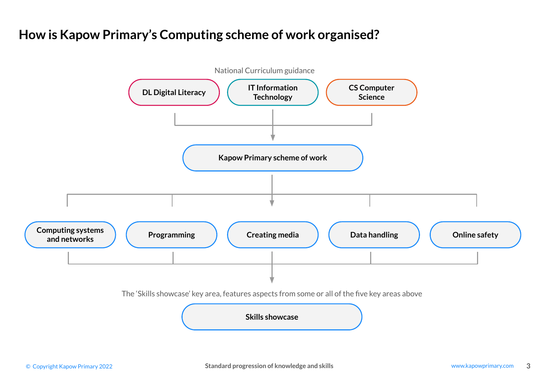## **How is Kapow Primary's Computing scheme of work organised?**

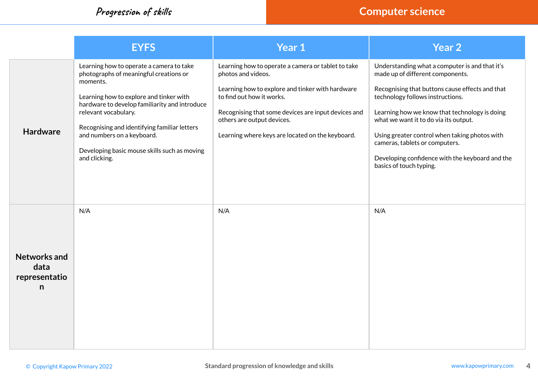|                                                   | <b>EYFS</b>                                                                                                                                                                                                                                                                                                                                                       | Year 1                                                                                                                                                                                                                                                                                             | Year 2                                                                                                                                                                                                                                                                                                                                                                                                                               |
|---------------------------------------------------|-------------------------------------------------------------------------------------------------------------------------------------------------------------------------------------------------------------------------------------------------------------------------------------------------------------------------------------------------------------------|----------------------------------------------------------------------------------------------------------------------------------------------------------------------------------------------------------------------------------------------------------------------------------------------------|--------------------------------------------------------------------------------------------------------------------------------------------------------------------------------------------------------------------------------------------------------------------------------------------------------------------------------------------------------------------------------------------------------------------------------------|
| <b>Hardware</b>                                   | Learning how to operate a camera to take<br>photographs of meaningful creations or<br>moments.<br>Learning how to explore and tinker with<br>hardware to develop familiarity and introduce<br>relevant vocabulary.<br>Recognising and identifying familiar letters<br>and numbers on a keyboard.<br>Developing basic mouse skills such as moving<br>and clicking. | Learning how to operate a camera or tablet to take<br>photos and videos.<br>Learning how to explore and tinker with hardware<br>to find out how it works.<br>Recognising that some devices are input devices and<br>others are output devices.<br>Learning where keys are located on the keyboard. | Understanding what a computer is and that it's<br>made up of different components.<br>Recognising that buttons cause effects and that<br>technology follows instructions.<br>Learning how we know that technology is doing<br>what we want it to do via its output.<br>Using greater control when taking photos with<br>cameras, tablets or computers.<br>Developing confidence with the keyboard and the<br>basics of touch typing. |
| <b>Networks and</b><br>data<br>representatio<br>n | N/A                                                                                                                                                                                                                                                                                                                                                               | N/A                                                                                                                                                                                                                                                                                                | N/A                                                                                                                                                                                                                                                                                                                                                                                                                                  |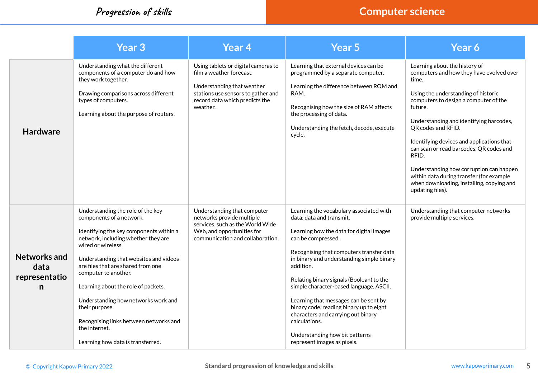|                                                   | <b>Year 3</b>                                                                                                                                                                                                                                                                                                                                                                                                                                                                 | <b>Year 4</b>                                                                                                                                                                     | <b>Year 5</b>                                                                                                                                                                                                                                                                                                                                                                                                                                                                                                                                  | Year 6                                                                                                                                                                                                                                                                                                                                                                                                                                                                                                  |
|---------------------------------------------------|-------------------------------------------------------------------------------------------------------------------------------------------------------------------------------------------------------------------------------------------------------------------------------------------------------------------------------------------------------------------------------------------------------------------------------------------------------------------------------|-----------------------------------------------------------------------------------------------------------------------------------------------------------------------------------|------------------------------------------------------------------------------------------------------------------------------------------------------------------------------------------------------------------------------------------------------------------------------------------------------------------------------------------------------------------------------------------------------------------------------------------------------------------------------------------------------------------------------------------------|---------------------------------------------------------------------------------------------------------------------------------------------------------------------------------------------------------------------------------------------------------------------------------------------------------------------------------------------------------------------------------------------------------------------------------------------------------------------------------------------------------|
| <b>Hardware</b>                                   | Understanding what the different<br>components of a computer do and how<br>they work together.<br>Drawing comparisons across different<br>types of computers.<br>Learning about the purpose of routers.                                                                                                                                                                                                                                                                       | Using tablets or digital cameras to<br>film a weather forecast.<br>Understanding that weather<br>stations use sensors to gather and<br>record data which predicts the<br>weather. | Learning that external devices can be<br>programmed by a separate computer.<br>Learning the difference between ROM and<br>RAM.<br>Recognising how the size of RAM affects<br>the processing of data.<br>Understanding the fetch, decode, execute<br>cycle.                                                                                                                                                                                                                                                                                     | Learning about the history of<br>computers and how they have evolved over<br>time.<br>Using the understanding of historic<br>computers to design a computer of the<br>future.<br>Understanding and identifying barcodes,<br>QR codes and RFID.<br>Identifying devices and applications that<br>can scan or read barcodes, QR codes and<br>RFID.<br>Understanding how corruption can happen<br>within data during transfer (for example<br>when downloading, installing, copying and<br>updating files). |
| <b>Networks and</b><br>data<br>representatio<br>n | Understanding the role of the key<br>components of a network.<br>Identifying the key components within a<br>network, including whether they are<br>wired or wireless.<br>Understanding that websites and videos<br>are files that are shared from one<br>computer to another.<br>Learning about the role of packets.<br>Understanding how networks work and<br>their purpose.<br>Recognising links between networks and<br>the internet.<br>Learning how data is transferred. | Understanding that computer<br>networks provide multiple<br>services, such as the World Wide<br>Web, and opportunities for<br>communication and collaboration.                    | Learning the vocabulary associated with<br>data: data and transmit.<br>Learning how the data for digital images<br>can be compressed.<br>Recognising that computers transfer data<br>in binary and understanding simple binary<br>addition.<br>Relating binary signals (Boolean) to the<br>simple character-based language, ASCII.<br>Learning that messages can be sent by<br>binary code, reading binary up to eight<br>characters and carrying out binary<br>calculations.<br>Understanding how bit patterns<br>represent images as pixels. | Understanding that computer networks<br>provide multiple services.                                                                                                                                                                                                                                                                                                                                                                                                                                      |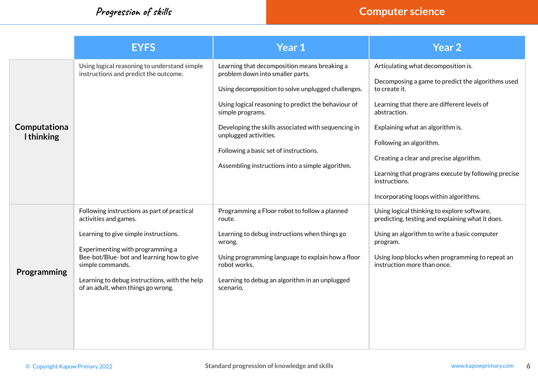|                                  | <b>EYFS</b>                                                                                                                                                                                                                                                                                               | Year 1                                                                                                                                                                                                                                                                                                                                                                                          | <b>Year 2</b>                                                                                                                                                                                                                                                                                                                                                                                        |
|----------------------------------|-----------------------------------------------------------------------------------------------------------------------------------------------------------------------------------------------------------------------------------------------------------------------------------------------------------|-------------------------------------------------------------------------------------------------------------------------------------------------------------------------------------------------------------------------------------------------------------------------------------------------------------------------------------------------------------------------------------------------|------------------------------------------------------------------------------------------------------------------------------------------------------------------------------------------------------------------------------------------------------------------------------------------------------------------------------------------------------------------------------------------------------|
| Computationa<br><b>Ithinking</b> | Using logical reasoning to understand simple<br>instructions and predict the outcome.                                                                                                                                                                                                                     | Learning that decomposition means breaking a<br>problem down into smaller parts.<br>Using decomposition to solve unplugged challenges.<br>Using logical reasoning to predict the behaviour of<br>simple programs.<br>Developing the skills associated with sequencing in<br>unplugged activities.<br>Following a basic set of instructions.<br>Assembling instructions into a simple algorithm. | Articulating what decomposition is.<br>Decomposing a game to predict the algorithms used<br>to create it.<br>Learning that there are different levels of<br>abstraction.<br>Explaining what an algorithm is.<br>Following an algorithm.<br>Creating a clear and precise algorithm.<br>Learning that programs execute by following precise<br>instructions.<br>Incorporating loops within algorithms. |
| Programming                      | Following instructions as part of practical<br>activities and games.<br>Learning to give simple instructions.<br>Experimenting with programming a<br>Bee-bot/Blue-bot and learning how to give<br>simple commands.<br>Learning to debug instructions, with the help<br>of an adult, when things go wrong. | Programming a Floor robot to follow a planned<br>route.<br>Learning to debug instructions when things go<br>wrong.<br>Using programming language to explain how a floor<br>robot works.<br>Learning to debug an algorithm in an unplugged<br>scenario.                                                                                                                                          | Using logical thinking to explore software,<br>predicting, testing and explaining what it does.<br>Using an algorithm to write a basic computer<br>program.<br>Using loop blocks when programming to repeat an<br>instruction more than once.                                                                                                                                                        |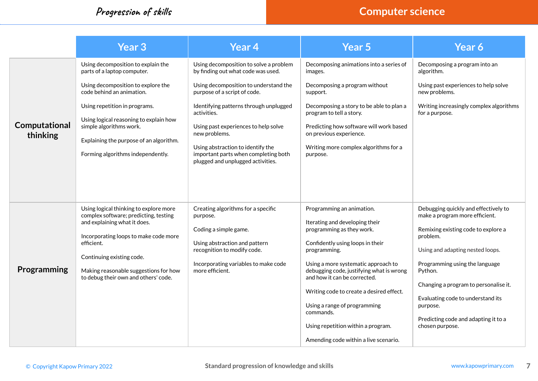|                           | <b>Year 3</b>                                                                                                                                                                                                                                                                                                              | <b>Year 4</b>                                                                                                                                                                                                                                                                                                                                                                             | Year 5                                                                                                                                                                                                                                                                                                                                                                                                                                  | Year 6                                                                                                                                                                                                                                                                                                                                                          |
|---------------------------|----------------------------------------------------------------------------------------------------------------------------------------------------------------------------------------------------------------------------------------------------------------------------------------------------------------------------|-------------------------------------------------------------------------------------------------------------------------------------------------------------------------------------------------------------------------------------------------------------------------------------------------------------------------------------------------------------------------------------------|-----------------------------------------------------------------------------------------------------------------------------------------------------------------------------------------------------------------------------------------------------------------------------------------------------------------------------------------------------------------------------------------------------------------------------------------|-----------------------------------------------------------------------------------------------------------------------------------------------------------------------------------------------------------------------------------------------------------------------------------------------------------------------------------------------------------------|
| Computational<br>thinking | Using decomposition to explain the<br>parts of a laptop computer.<br>Using decomposition to explore the<br>code behind an animation.<br>Using repetition in programs.<br>Using logical reasoning to explain how<br>simple algorithms work.<br>Explaining the purpose of an algorithm.<br>Forming algorithms independently. | Using decomposition to solve a problem<br>by finding out what code was used.<br>Using decomposition to understand the<br>purpose of a script of code.<br>Identifying patterns through unplugged<br>activities.<br>Using past experiences to help solve<br>new problems.<br>Using abstraction to identify the<br>important parts when completing both<br>plugged and unplugged activities. | Decomposing animations into a series of<br>images.<br>Decomposing a program without<br>support.<br>Decomposing a story to be able to plan a<br>program to tell a story.<br>Predicting how software will work based<br>on previous experience.<br>Writing more complex algorithms for a<br>purpose.                                                                                                                                      | Decomposing a program into an<br>algorithm.<br>Using past experiences to help solve<br>new problems.<br>Writing increasingly complex algorithms<br>for a purpose.                                                                                                                                                                                               |
| Programming               | Using logical thinking to explore more<br>complex software; predicting, testing<br>and explaining what it does.<br>Incorporating loops to make code more<br>efficient.<br>Continuing existing code.<br>Making reasonable suggestions for how<br>to debug their own and others' code.                                       | Creating algorithms for a specific<br>purpose.<br>Coding a simple game.<br>Using abstraction and pattern<br>recognition to modify code.<br>Incorporating variables to make code<br>more efficient.                                                                                                                                                                                        | Programming an animation.<br>Iterating and developing their<br>programming as they work.<br>Confidently using loops in their<br>programming.<br>Using a more systematic approach to<br>debugging code, justifying what is wrong<br>and how it can be corrected.<br>Writing code to create a desired effect.<br>Using a range of programming<br>commands.<br>Using repetition within a program.<br>Amending code within a live scenario. | Debugging quickly and effectively to<br>make a program more efficient.<br>Remixing existing code to explore a<br>problem.<br>Using and adapting nested loops.<br>Programming using the language<br>Python.<br>Changing a program to personalise it.<br>Evaluating code to understand its<br>purpose.<br>Predicting code and adapting it to a<br>chosen purpose. |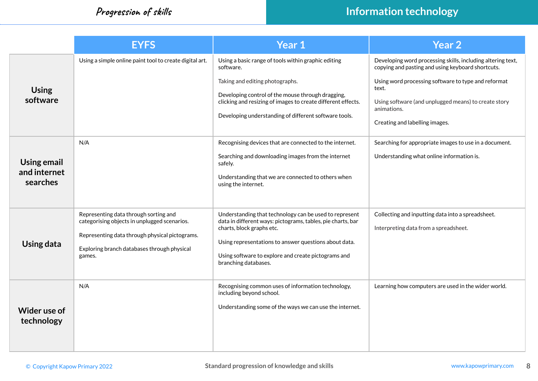|                                                | <b>EYFS</b>                                                                                                                                                                                      | <b>Year 1</b>                                                                                                                                                                                                                                                                              | Year <sub>2</sub>                                                                                                                                                                                                                                                                         |
|------------------------------------------------|--------------------------------------------------------------------------------------------------------------------------------------------------------------------------------------------------|--------------------------------------------------------------------------------------------------------------------------------------------------------------------------------------------------------------------------------------------------------------------------------------------|-------------------------------------------------------------------------------------------------------------------------------------------------------------------------------------------------------------------------------------------------------------------------------------------|
| <b>Using</b><br>software                       | Using a simple online paint tool to create digital art.                                                                                                                                          | Using a basic range of tools within graphic editing<br>software.<br>Taking and editing photographs.<br>Developing control of the mouse through dragging,<br>clicking and resizing of images to create different effects.<br>Developing understanding of different software tools.          | Developing word processing skills, including altering text,<br>copying and pasting and using keyboard shortcuts.<br>Using word processing software to type and reformat<br>text.<br>Using software (and unplugged means) to create story<br>animations.<br>Creating and labelling images. |
| <b>Using email</b><br>and internet<br>searches | N/A                                                                                                                                                                                              | Recognising devices that are connected to the internet.<br>Searching and downloading images from the internet<br>safely.<br>Understanding that we are connected to others when<br>using the internet.                                                                                      | Searching for appropriate images to use in a document.<br>Understanding what online information is.                                                                                                                                                                                       |
| Using data                                     | Representing data through sorting and<br>categorising objects in unplugged scenarios.<br>Representing data through physical pictograms.<br>Exploring branch databases through physical<br>games. | Understanding that technology can be used to represent<br>data in different ways: pictograms, tables, pie charts, bar<br>charts, block graphs etc.<br>Using representations to answer questions about data.<br>Using software to explore and create pictograms and<br>branching databases. | Collecting and inputting data into a spreadsheet.<br>Interpreting data from a spreadsheet.                                                                                                                                                                                                |
| Wider use of<br>technology                     | N/A                                                                                                                                                                                              | Recognising common uses of information technology,<br>including beyond school.<br>Understanding some of the ways we can use the internet.                                                                                                                                                  | Learning how computers are used in the wider world.                                                                                                                                                                                                                                       |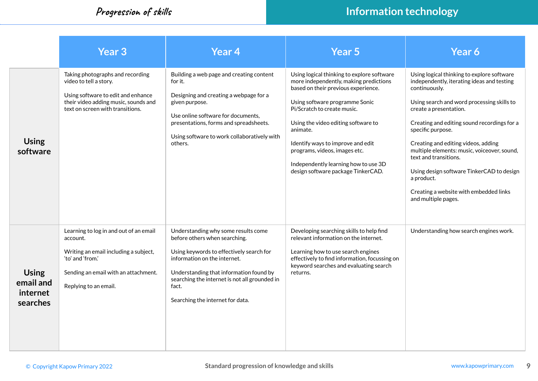|                                                   | Year 3                                                                                                                                                                           | Year 4                                                                                                                                                                                                                                                                                    | <b>Year 5</b>                                                                                                                                                                                                                                                                                                                                                                                       | Year 6                                                                                                                                                                                                                                                                                                                                                                                                                                                                                           |
|---------------------------------------------------|----------------------------------------------------------------------------------------------------------------------------------------------------------------------------------|-------------------------------------------------------------------------------------------------------------------------------------------------------------------------------------------------------------------------------------------------------------------------------------------|-----------------------------------------------------------------------------------------------------------------------------------------------------------------------------------------------------------------------------------------------------------------------------------------------------------------------------------------------------------------------------------------------------|--------------------------------------------------------------------------------------------------------------------------------------------------------------------------------------------------------------------------------------------------------------------------------------------------------------------------------------------------------------------------------------------------------------------------------------------------------------------------------------------------|
| <b>Using</b><br>software                          | Taking photographs and recording<br>video to tell a story.<br>Using software to edit and enhance<br>their video adding music, sounds and<br>text on screen with transitions.     | Building a web page and creating content<br>for it.<br>Designing and creating a webpage for a<br>given purpose.<br>Use online software for documents,<br>presentations, forms and spreadsheets.<br>Using software to work collaboratively with<br>others.                                 | Using logical thinking to explore software<br>more independently, making predictions<br>based on their previous experience.<br>Using software programme Sonic<br>Pi/Scratch to create music.<br>Using the video editing software to<br>animate.<br>Identify ways to improve and edit<br>programs, videos, images etc.<br>Independently learning how to use 3D<br>design software package TinkerCAD. | Using logical thinking to explore software<br>independently, iterating ideas and testing<br>continuously.<br>Using search and word processing skills to<br>create a presentation.<br>Creating and editing sound recordings for a<br>specific purpose.<br>Creating and editing videos, adding<br>multiple elements: music, voiceover, sound,<br>text and transitions.<br>Using design software TinkerCAD to design<br>a product.<br>Creating a website with embedded links<br>and multiple pages. |
| <b>Using</b><br>email and<br>internet<br>searches | Learning to log in and out of an email<br>account.<br>Writing an email including a subject,<br>'to' and 'from.'<br>Sending an email with an attachment.<br>Replying to an email. | Understanding why some results come<br>before others when searching.<br>Using keywords to effectively search for<br>information on the internet.<br>Understanding that information found by<br>searching the internet is not all grounded in<br>fact.<br>Searching the internet for data. | Developing searching skills to help find<br>relevant information on the internet.<br>Learning how to use search engines<br>effectively to find information, focussing on<br>keyword searches and evaluating search<br>returns.                                                                                                                                                                      | Understanding how search engines work.                                                                                                                                                                                                                                                                                                                                                                                                                                                           |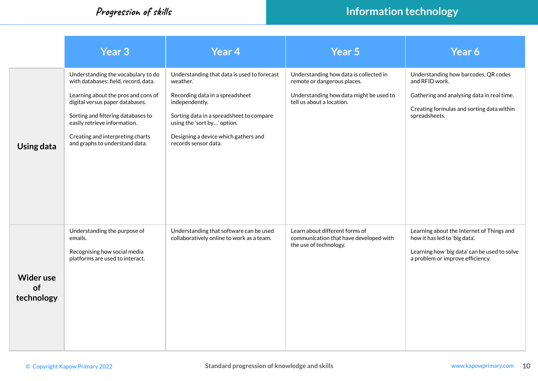|                                      | <b>Year 3</b>                                                                                                                                                                                                                                                                                    | <b>Year 4</b>                                                                                                                                                                                                                                           | Year 5                                                                                                                                        | Year 6                                                                                                                                                             |
|--------------------------------------|--------------------------------------------------------------------------------------------------------------------------------------------------------------------------------------------------------------------------------------------------------------------------------------------------|---------------------------------------------------------------------------------------------------------------------------------------------------------------------------------------------------------------------------------------------------------|-----------------------------------------------------------------------------------------------------------------------------------------------|--------------------------------------------------------------------------------------------------------------------------------------------------------------------|
| Using data                           | Understanding the vocabulary to do<br>with databases: field, record, data.<br>Learning about the pros and cons of<br>digital versus paper databases.<br>Sorting and filtering databases to<br>easily retrieve information.<br>Creating and interpreting charts<br>and graphs to understand data. | Understanding that data is used to forecast<br>weather.<br>Recording data in a spreadsheet<br>independently.<br>Sorting data in a spreadsheet to compare<br>using the 'sort by' option.<br>Designing a device which gathers and<br>records sensor data. | Understanding how data is collected in<br>remote or dangerous places.<br>Understanding how data might be used to<br>tell us about a location. | Understanding how barcodes, QR codes<br>and RFID work.<br>Gathering and analysing data in real time.<br>Creating formulas and sorting data within<br>spreadsheets. |
| <b>Wider use</b><br>of<br>technology | Understanding the purpose of<br>emails.<br>Recognising how social media<br>platforms are used to interact.                                                                                                                                                                                       | Understanding that software can be used<br>collaboratively online to work as a team.                                                                                                                                                                    | Learn about different forms of<br>communication that have developed with<br>the use of technology.                                            | Learning about the Internet of Things and<br>how it has led to 'big data'.<br>Learning how 'big data' can be used to solve<br>a problem or improve efficiency.     |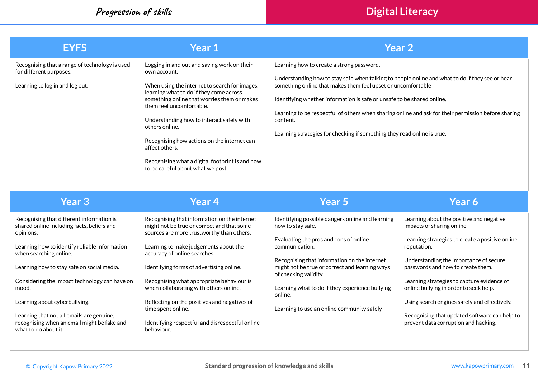**Progression of skills Digital Literacy** 

| <b>EYFS</b>                                                                                                                                                                                                                                                                                                                                                                                                                                  | Year 1                                                                                                                                                                                                                                                                                                                                                                                                                                                                                     |                                                                                                                                                                                                                                                                                                                                                                                                                                                                                      | <b>Year 2</b>                                                                                                                                                                                                                                                                                                                                                                                                                                            |  |  |
|----------------------------------------------------------------------------------------------------------------------------------------------------------------------------------------------------------------------------------------------------------------------------------------------------------------------------------------------------------------------------------------------------------------------------------------------|--------------------------------------------------------------------------------------------------------------------------------------------------------------------------------------------------------------------------------------------------------------------------------------------------------------------------------------------------------------------------------------------------------------------------------------------------------------------------------------------|--------------------------------------------------------------------------------------------------------------------------------------------------------------------------------------------------------------------------------------------------------------------------------------------------------------------------------------------------------------------------------------------------------------------------------------------------------------------------------------|----------------------------------------------------------------------------------------------------------------------------------------------------------------------------------------------------------------------------------------------------------------------------------------------------------------------------------------------------------------------------------------------------------------------------------------------------------|--|--|
| Recognising that a range of technology is used<br>for different purposes.<br>Learning to log in and log out.                                                                                                                                                                                                                                                                                                                                 | Logging in and out and saving work on their<br>own account.<br>When using the internet to search for images,<br>learning what to do if they come across<br>something online that worries them or makes<br>them feel uncomfortable.<br>Understanding how to interact safely with<br>others online.<br>Recognising how actions on the internet can<br>affect others.<br>Recognising what a digital footprint is and how<br>to be careful about what we post.                                 | Learning how to create a strong password.<br>Understanding how to stay safe when talking to people online and what to do if they see or hear<br>something online that makes them feel upset or uncomfortable<br>Identifying whether information is safe or unsafe to be shared online.<br>Learning to be respectful of others when sharing online and ask for their permission before sharing<br>content.<br>Learning strategies for checking if something they read online is true. |                                                                                                                                                                                                                                                                                                                                                                                                                                                          |  |  |
| Year <sub>3</sub>                                                                                                                                                                                                                                                                                                                                                                                                                            | Year <sub>4</sub>                                                                                                                                                                                                                                                                                                                                                                                                                                                                          | Year 5                                                                                                                                                                                                                                                                                                                                                                                                                                                                               | Year 6                                                                                                                                                                                                                                                                                                                                                                                                                                                   |  |  |
| Recognising that different information is<br>shared online including facts, beliefs and<br>opinions.<br>Learning how to identify reliable information<br>when searching online.<br>Learning how to stay safe on social media.<br>Considering the impact technology can have on<br>mood.<br>Learning about cyberbullying.<br>Learning that not all emails are genuine,<br>recognising when an email might be fake and<br>what to do about it. | Recognising that information on the internet<br>might not be true or correct and that some<br>sources are more trustworthy than others.<br>Learning to make judgements about the<br>accuracy of online searches.<br>Identifying forms of advertising online.<br>Recognising what appropriate behaviour is<br>when collaborating with others online.<br>Reflecting on the positives and negatives of<br>time spent online.<br>Identifying respectful and disrespectful online<br>behaviour. | Identifying possible dangers online and learning<br>how to stay safe.<br>Evaluating the pros and cons of online<br>communication.<br>Recognising that information on the internet<br>might not be true or correct and learning ways<br>of checking validity.<br>Learning what to do if they experience bullying<br>online.<br>Learning to use an online community safely                                                                                                             | Learning about the positive and negative<br>impacts of sharing online.<br>Learning strategies to create a positive online<br>reputation.<br>Understanding the importance of secure<br>passwords and how to create them.<br>Learning strategies to capture evidence of<br>online bullying in order to seek help.<br>Using search engines safely and effectively.<br>Recognising that updated software can help to<br>prevent data corruption and hacking. |  |  |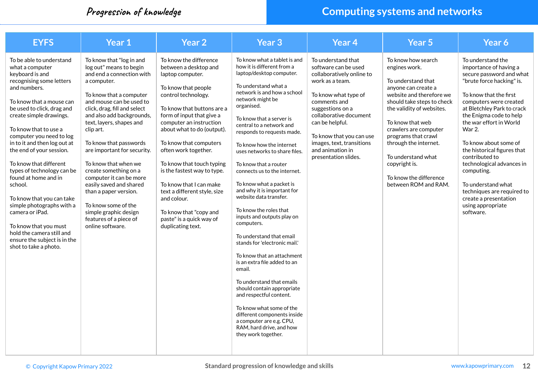### **Progression of knowledge Computing systems and networks**

| <b>EYFS</b>                                                                                                                                                                                                                                                                                                                                                                                                                                                                                                                                                                                             | Year 1                                                                                                                                                                                                                                                                                                                                                                                                                                                                                                                                              | <b>Year 2</b>                                                                                                                                                                                                                                                                                                                                                                                                                                                                                            | Year <sub>3</sub>                                                                                                                                                                                                                                                                                                                                                                                                                                                                                                                                                                                                                                                                                                                                                                                                                                                                                                           | <b>Year 4</b>                                                                                                                                                                                                                                                                                            | Year <sub>5</sub>                                                                                                                                                                                                                                                                                                                                             | Year 6                                                                                                                                                                                                                                                                                                                                                                                                                                                                                            |
|---------------------------------------------------------------------------------------------------------------------------------------------------------------------------------------------------------------------------------------------------------------------------------------------------------------------------------------------------------------------------------------------------------------------------------------------------------------------------------------------------------------------------------------------------------------------------------------------------------|-----------------------------------------------------------------------------------------------------------------------------------------------------------------------------------------------------------------------------------------------------------------------------------------------------------------------------------------------------------------------------------------------------------------------------------------------------------------------------------------------------------------------------------------------------|----------------------------------------------------------------------------------------------------------------------------------------------------------------------------------------------------------------------------------------------------------------------------------------------------------------------------------------------------------------------------------------------------------------------------------------------------------------------------------------------------------|-----------------------------------------------------------------------------------------------------------------------------------------------------------------------------------------------------------------------------------------------------------------------------------------------------------------------------------------------------------------------------------------------------------------------------------------------------------------------------------------------------------------------------------------------------------------------------------------------------------------------------------------------------------------------------------------------------------------------------------------------------------------------------------------------------------------------------------------------------------------------------------------------------------------------------|----------------------------------------------------------------------------------------------------------------------------------------------------------------------------------------------------------------------------------------------------------------------------------------------------------|---------------------------------------------------------------------------------------------------------------------------------------------------------------------------------------------------------------------------------------------------------------------------------------------------------------------------------------------------------------|---------------------------------------------------------------------------------------------------------------------------------------------------------------------------------------------------------------------------------------------------------------------------------------------------------------------------------------------------------------------------------------------------------------------------------------------------------------------------------------------------|
| To be able to understand<br>what a computer<br>keyboard is and<br>recognising some letters<br>and numbers.<br>To know that a mouse can<br>be used to click, drag and<br>create simple drawings.<br>To know that to use a<br>computer you need to log<br>in to it and then log out at<br>the end of your session.<br>To know that different<br>types of technology can be<br>found at home and in<br>school.<br>To know that you can take<br>simple photographs with a<br>camera or iPad.<br>To know that you must<br>hold the camera still and<br>ensure the subject is in the<br>shot to take a photo. | To know that "log in and<br>log out" means to begin<br>and end a connection with<br>a computer.<br>To know that a computer<br>and mouse can be used to<br>click, drag, fill and select<br>and also add backgrounds,<br>text, layers, shapes and<br>clip art.<br>To know that passwords<br>are important for security.<br>To know that when we<br>create something on a<br>computer it can be more<br>easily saved and shared<br>than a paper version.<br>To know some of the<br>simple graphic design<br>features of a piece of<br>online software. | To know the difference<br>between a desktop and<br>laptop computer.<br>To know that people<br>control technology.<br>To know that buttons are a<br>form of input that give a<br>computer an instruction<br>about what to do (output).<br>To know that computers<br>often work together.<br>To know that touch typing<br>is the fastest way to type.<br>To know that I can make<br>text a different style, size<br>and colour.<br>To know that "copy and<br>paste" is a quick way of<br>duplicating text. | To know what a tablet is and<br>how it is different from a<br>laptop/desktop computer.<br>To understand what a<br>network is and how a school<br>network might be<br>organised.<br>To know that a server is<br>central to a network and<br>responds to requests made.<br>To know how the internet<br>uses networks to share files.<br>To know that a router<br>connects us to the internet.<br>To know what a packet is<br>and why it is important for<br>website data transfer.<br>To know the roles that<br>inputs and outputs play on<br>computers.<br>To understand that email<br>stands for 'electronic mail.'<br>To know that an attachment<br>is an extra file added to an<br>email.<br>To understand that emails<br>should contain appropriate<br>and respectful content.<br>To know what some of the<br>different components inside<br>a computer are e.g. CPU,<br>RAM, hard drive, and how<br>they work together. | To understand that<br>software can be used<br>collaboratively online to<br>work as a team.<br>To know what type of<br>comments and<br>suggestions on a<br>collaborative document<br>can be helpful.<br>To know that you can use<br>images, text, transitions<br>and animation in<br>presentation slides. | To know how search<br>engines work.<br>To understand that<br>anvone can create a<br>website and therefore we<br>should take steps to check<br>the validity of websites.<br>To know that web<br>crawlers are computer<br>programs that crawl<br>through the internet.<br>To understand what<br>copyright is.<br>To know the difference<br>between ROM and RAM. | To understand the<br>importance of having a<br>secure password and what<br>"brute force hacking" is.<br>To know that the first<br>computers were created<br>at Bletchley Park to crack<br>the Enigma code to help<br>the war effort in World<br><b>War 2.</b><br>To know about some of<br>the historical figures that<br>contributed to<br>technological advances in<br>computing.<br>To understand what<br>techniques are required to<br>create a presentation<br>using appropriate<br>software. |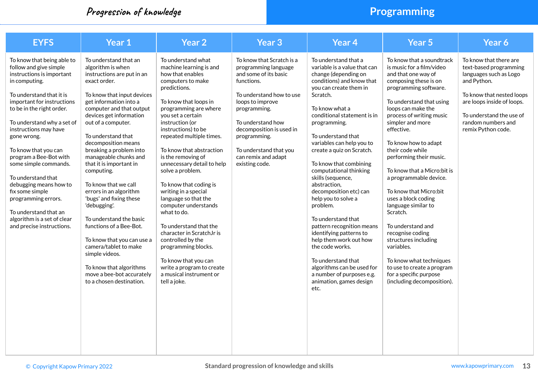### **Progression of knowledge Programming**

| <b>EYFS</b>                                                                                                                                                                                                                                                                                                                                                                                                                                                                                                               | Year 1                                                                                                                                                                                                                                                                                                                                                                                                                                                                                                                                                                                                                                                                                  | <b>Year 2</b>                                                                                                                                                                                                                                                                                                                                                                                                                                                                                                                                                                                                                                                               | <b>Year 3</b>                                                                                                                                                                                                                                                                                | Year <sub>4</sub>                                                                                                                                                                                                                                                                                                                                                                                                                                                                                                                                                                                                                                                                                     | Year 5                                                                                                                                                                                                                                                                                                                                                                                                                                                                                                                                                                                                                                                               | Year 6                                                                                                                                                                                                                       |
|---------------------------------------------------------------------------------------------------------------------------------------------------------------------------------------------------------------------------------------------------------------------------------------------------------------------------------------------------------------------------------------------------------------------------------------------------------------------------------------------------------------------------|-----------------------------------------------------------------------------------------------------------------------------------------------------------------------------------------------------------------------------------------------------------------------------------------------------------------------------------------------------------------------------------------------------------------------------------------------------------------------------------------------------------------------------------------------------------------------------------------------------------------------------------------------------------------------------------------|-----------------------------------------------------------------------------------------------------------------------------------------------------------------------------------------------------------------------------------------------------------------------------------------------------------------------------------------------------------------------------------------------------------------------------------------------------------------------------------------------------------------------------------------------------------------------------------------------------------------------------------------------------------------------------|----------------------------------------------------------------------------------------------------------------------------------------------------------------------------------------------------------------------------------------------------------------------------------------------|-------------------------------------------------------------------------------------------------------------------------------------------------------------------------------------------------------------------------------------------------------------------------------------------------------------------------------------------------------------------------------------------------------------------------------------------------------------------------------------------------------------------------------------------------------------------------------------------------------------------------------------------------------------------------------------------------------|----------------------------------------------------------------------------------------------------------------------------------------------------------------------------------------------------------------------------------------------------------------------------------------------------------------------------------------------------------------------------------------------------------------------------------------------------------------------------------------------------------------------------------------------------------------------------------------------------------------------------------------------------------------------|------------------------------------------------------------------------------------------------------------------------------------------------------------------------------------------------------------------------------|
| To know that being able to<br>follow and give simple<br>instructions is important<br>in computing.<br>To understand that it is<br>important for instructions<br>to be in the right order.<br>To understand why a set of<br>instructions may have<br>gone wrong.<br>To know that you can<br>program a Bee-Bot with<br>some simple commands.<br>To understand that<br>debugging means how to<br>fix some simple<br>programming errors.<br>To understand that an<br>algorithm is a set of clear<br>and precise instructions. | To understand that an<br>algorithm is when<br>instructions are put in an<br>exact order.<br>To know that input devices<br>get information into a<br>computer and that output<br>devices get information<br>out of a computer.<br>To understand that<br>decomposition means<br>breaking a problem into<br>manageable chunks and<br>that it is important in<br>computing.<br>To know that we call<br>errors in an algorithm<br>'bugs' and fixing these<br>'debugging'.<br>To understand the basic<br>functions of a Bee-Bot.<br>To know that you can use a<br>camera/tablet to make<br>simple videos.<br>To know that algorithms<br>move a bee-bot accurately<br>to a chosen destination. | To understand what<br>machine learning is and<br>how that enables<br>computers to make<br>predictions.<br>To know that loops in<br>programming are where<br>vou set a certain<br>instruction (or<br>instructions) to be<br>repeated multiple times.<br>To know that abstraction<br>is the removing of<br>unnecessary detail to help<br>solve a problem.<br>To know that coding is<br>writing in a special<br>language so that the<br>computer understands<br>what to do.<br>To understand that the<br>character in ScratchJr is<br>controlled by the<br>programming blocks.<br>To know that you can<br>write a program to create<br>a musical instrument or<br>tell a joke. | To know that Scratch is a<br>programming language<br>and some of its basic<br>functions.<br>To understand how to use<br>loops to improve<br>programming.<br>To understand how<br>decomposition is used in<br>programming.<br>To understand that you<br>can remix and adapt<br>existing code. | To understand that a<br>variable is a value that can<br>change (depending on<br>conditions) and know that<br>you can create them in<br>Scratch.<br>To know what a<br>conditional statement is in<br>programming.<br>To understand that<br>variables can help you to<br>create a quiz on Scratch.<br>To know that combining<br>computational thinking<br>skills (sequence,<br>abstraction.<br>decomposition etc) can<br>help you to solve a<br>problem.<br>To understand that<br>pattern recognition means<br>identifying patterns to<br>help them work out how<br>the code works.<br>To understand that<br>algorithms can be used for<br>a number of purposes e.g.<br>animation, games design<br>etc. | To know that a soundtrack<br>is music for a film/video<br>and that one way of<br>composing these is on<br>programming software.<br>To understand that using<br>loops can make the<br>process of writing music<br>simpler and more<br>effective.<br>To know how to adapt<br>their code while<br>performing their music.<br>To know that a Micro: bit is<br>a programmable device.<br>To know that Micro:bit<br>uses a block coding<br>language similar to<br>Scratch.<br>To understand and<br>recognise coding<br>structures including<br>variables.<br>To know what techniques<br>to use to create a program<br>for a specific purpose<br>(including decomposition). | To know that there are<br>text-based programming<br>languages such as Logo<br>and Python.<br>To know that nested loops<br>are loops inside of loops.<br>To understand the use of<br>random numbers and<br>remix Python code. |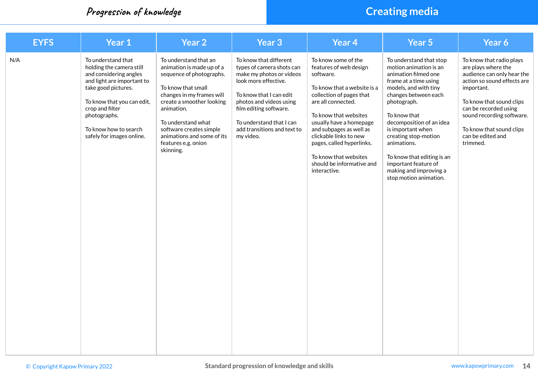### **Progression of knowledge Creating media**

| <b>EYFS</b> | Year 1                                                                                                                                                                                                                                               | Year <sub>2</sub>                                                                                                                                                                                                                                                                               | Year <sub>3</sub>                                                                                                                                                                                                                                               | Year <sub>4</sub>                                                                                                                                                                                                                                                                                                                                       | Year 5                                                                                                                                                                                                                                                                                                                                                                               | Year 6                                                                                                                                                                                                                                                                    |
|-------------|------------------------------------------------------------------------------------------------------------------------------------------------------------------------------------------------------------------------------------------------------|-------------------------------------------------------------------------------------------------------------------------------------------------------------------------------------------------------------------------------------------------------------------------------------------------|-----------------------------------------------------------------------------------------------------------------------------------------------------------------------------------------------------------------------------------------------------------------|---------------------------------------------------------------------------------------------------------------------------------------------------------------------------------------------------------------------------------------------------------------------------------------------------------------------------------------------------------|--------------------------------------------------------------------------------------------------------------------------------------------------------------------------------------------------------------------------------------------------------------------------------------------------------------------------------------------------------------------------------------|---------------------------------------------------------------------------------------------------------------------------------------------------------------------------------------------------------------------------------------------------------------------------|
| N/A         | To understand that<br>holding the camera still<br>and considering angles<br>and light are important to<br>take good pictures.<br>To know that you can edit,<br>crop and filter<br>photographs.<br>To know how to search<br>safely for images online. | To understand that an<br>animation is made up of a<br>sequence of photographs.<br>To know that small<br>changes in my frames will<br>create a smoother looking<br>animation.<br>To understand what<br>software creates simple<br>animations and some of its<br>features e.g. onion<br>skinning. | To know that different<br>types of camera shots can<br>make my photos or videos<br>look more effective.<br>To know that I can edit<br>photos and videos using<br>film editing software.<br>To understand that I can<br>add transitions and text to<br>my video. | To know some of the<br>features of web design<br>software.<br>To know that a website is a<br>collection of pages that<br>are all connected.<br>To know that websites<br>usually have a homepage<br>and subpages as well as<br>clickable links to new<br>pages, called hyperlinks.<br>To know that websites<br>should be informative and<br>interactive. | To understand that stop<br>motion animation is an<br>animation filmed one<br>frame at a time using<br>models, and with tiny<br>changes between each<br>photograph.<br>To know that<br>decomposition of an idea<br>is important when<br>creating stop-motion<br>animations.<br>To know that editing is an<br>important feature of<br>making and improving a<br>stop motion animation. | To know that radio plays<br>are plays where the<br>audience can only hear the<br>action so sound effects are<br>important.<br>To know that sound clips<br>can be recorded using<br>sound recording software.<br>To know that sound clips<br>can be edited and<br>trimmed. |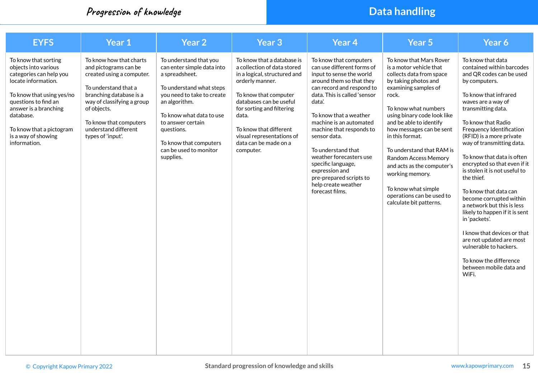### **Progression of knowledge Data handling**

| <b>EYFS</b>                                                                                                                                                                                                                                                  | Year 1                                                                                                                                                                                                                                               | Year 2                                                                                                                                                                                                                                                                            | <b>Year 3</b>                                                                                                                                                                                                                                                                                       | Year <sub>4</sub>                                                                                                                                                                                                                                                                                                                                                                                                                                  | <b>Year 5</b>                                                                                                                                                                                                                                                                                                                                                                                                                                                        | Year 6                                                                                                                                                                                                                                                                                                                                                                                                                                                                                                                                                                                                                                                                           |
|--------------------------------------------------------------------------------------------------------------------------------------------------------------------------------------------------------------------------------------------------------------|------------------------------------------------------------------------------------------------------------------------------------------------------------------------------------------------------------------------------------------------------|-----------------------------------------------------------------------------------------------------------------------------------------------------------------------------------------------------------------------------------------------------------------------------------|-----------------------------------------------------------------------------------------------------------------------------------------------------------------------------------------------------------------------------------------------------------------------------------------------------|----------------------------------------------------------------------------------------------------------------------------------------------------------------------------------------------------------------------------------------------------------------------------------------------------------------------------------------------------------------------------------------------------------------------------------------------------|----------------------------------------------------------------------------------------------------------------------------------------------------------------------------------------------------------------------------------------------------------------------------------------------------------------------------------------------------------------------------------------------------------------------------------------------------------------------|----------------------------------------------------------------------------------------------------------------------------------------------------------------------------------------------------------------------------------------------------------------------------------------------------------------------------------------------------------------------------------------------------------------------------------------------------------------------------------------------------------------------------------------------------------------------------------------------------------------------------------------------------------------------------------|
| To know that sorting<br>objects into various<br>categories can help you<br>locate information.<br>To know that using yes/no<br>questions to find an<br>answer is a branching<br>database.<br>To know that a pictogram<br>is a way of showing<br>information. | To know how that charts<br>and pictograms can be<br>created using a computer.<br>To understand that a<br>branching database is a<br>way of classifying a group<br>of objects.<br>To know that computers<br>understand different<br>types of 'input'. | To understand that you<br>can enter simple data into<br>a spreadsheet.<br>To understand what steps<br>you need to take to create<br>an algorithm.<br>To know what data to use<br>to answer certain<br>questions.<br>To know that computers<br>can be used to monitor<br>supplies. | To know that a database is<br>a collection of data stored<br>in a logical, structured and<br>orderly manner.<br>To know that computer<br>databases can be useful<br>for sorting and filtering<br>data.<br>To know that different<br>visual representations of<br>data can be made on a<br>computer. | To know that computers<br>can use different forms of<br>input to sense the world<br>around them so that they<br>can record and respond to<br>data. This is called 'sensor<br>data'.<br>To know that a weather<br>machine is an automated<br>machine that responds to<br>sensor data.<br>To understand that<br>weather forecasters use<br>specific language,<br>expression and<br>pre-prepared scripts to<br>help create weather<br>forecast films. | To know that Mars Rover<br>is a motor vehicle that<br>collects data from space<br>by taking photos and<br>examining samples of<br>rock.<br>To know what numbers<br>using binary code look like<br>and be able to identify<br>how messages can be sent<br>in this format.<br>To understand that RAM is<br><b>Random Access Memory</b><br>and acts as the computer's<br>working memory.<br>To know what simple<br>operations can be used to<br>calculate bit patterns. | To know that data<br>contained within barcodes<br>and QR codes can be used<br>by computers.<br>To know that infrared<br>waves are a way of<br>transmitting data.<br>To know that Radio<br>Frequency Identification<br>(RFID) is a more private<br>way of transmitting data.<br>To know that data is often<br>encrypted so that even if it<br>is stolen it is not useful to<br>the thief.<br>To know that data can<br>become corrupted within<br>a network but this is less<br>likely to happen if it is sent<br>in 'packets'.<br>I know that devices or that<br>are not updated are most<br>vulnerable to hackers.<br>To know the difference<br>between mobile data and<br>WiFi. |